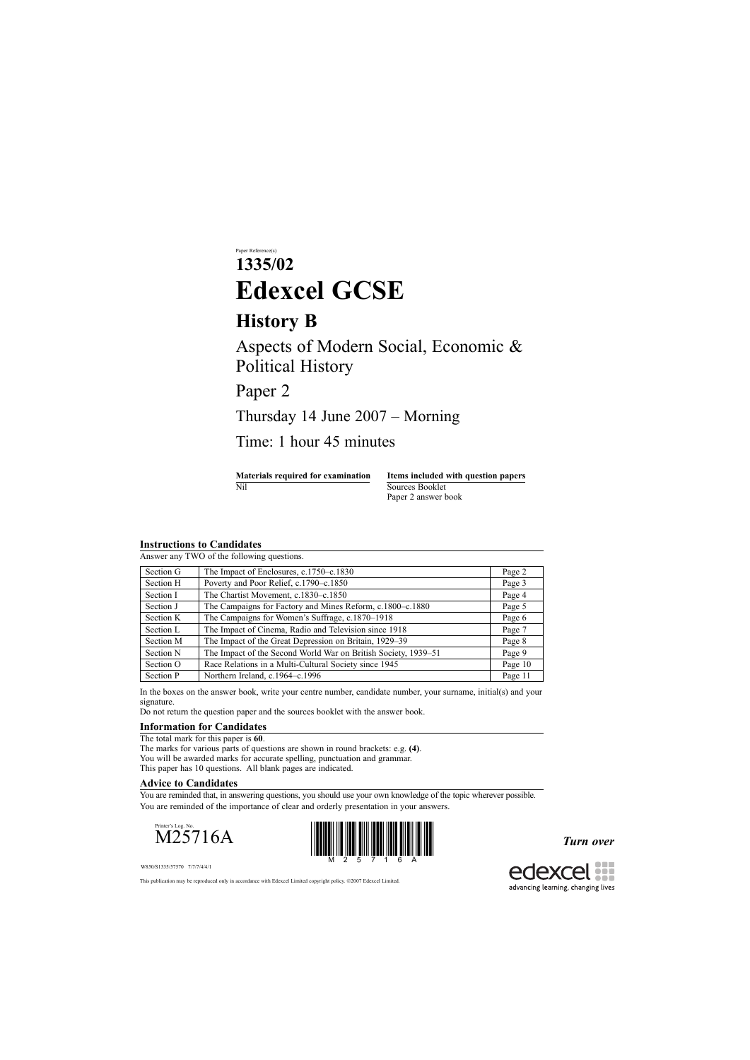*Turn over*

edexcel ::: advancing learning, changing lives

# Paper Reference(s) **1335/02 Edexcel GCSE**

# **History B**

Aspects of Modern Social, Economic & Political History

**Materials required for examination Items included with question papers** Nil Sources Booklet

Paper 2

Thursday 14 June 2007 – Morning

Time: 1 hour 45 minutes

Paper 2 answer book

# **Instructions to Candidates**

| Answer any TWO of the following questions. |                                                                |         |
|--------------------------------------------|----------------------------------------------------------------|---------|
| Section G                                  | The Impact of Enclosures, c.1750–c.1830                        | Page 2  |
| Section H                                  | Poverty and Poor Relief, c.1790–c.1850                         | Page 3  |
| Section I                                  | The Chartist Movement, c.1830-c.1850                           | Page 4  |
| Section J                                  | The Campaigns for Factory and Mines Reform, c.1800–c.1880      | Page 5  |
| Section K                                  | The Campaigns for Women's Suffrage, c.1870–1918                | Page 6  |
| Section L                                  | The Impact of Cinema, Radio and Television since 1918          | Page 7  |
| Section M                                  | The Impact of the Great Depression on Britain, 1929–39         | Page 8  |
| Section N                                  | The Impact of the Second World War on British Society, 1939–51 | Page 9  |
| Section O                                  | Race Relations in a Multi-Cultural Society since 1945          | Page 10 |
| Section P                                  | Northern Ireland, c.1964–c.1996                                | Page 11 |

In the boxes on the answer book, write your centre number, candidate number, your surname, initial(s) and your signature.

Do not return the question paper and the sources booklet with the answer book.

# **Information for Candidates**

The total mark for this paper is **60**. The marks for various parts of questions are shown in round brackets: e.g. **(4)**. You will be awarded marks for accurate spelling, punctuation and grammar. This paper has 10 questions. All blank pages are indicated.

# **Advice to Candidates**

You are reminded that, in answering questions, you should use your own knowledge of the topic wherever possible.

You are reminded of the importance of clear and orderly presentation in your answers.



This publication may be reproduced only in accordance with Edexcel Limited copyright policy. ©2007 Edexcel Limited.

W850/S1335/57570 7/7/7/4/4/1

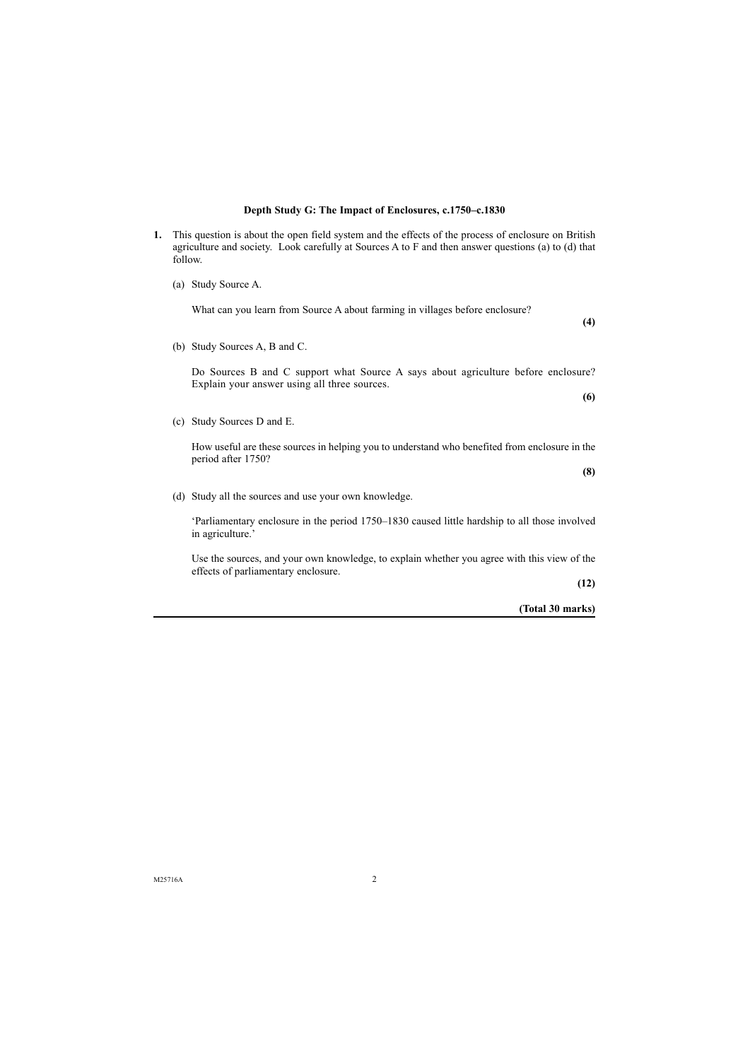#### **Depth Study G: The Impact of Enclosures, c.1750–c.1830**

- **1.** This question is about the open field system and the effects of the process of enclosure on British agriculture and society. Look carefully at Sources A to F and then answer questions (a) to (d) that follow.
	- (a) Study Source A.

What can you learn from Source A about farming in villages before enclosure?

**(4)**

(b) Study Sources A, B and C.

 Do Sources B and C support what Source A says about agriculture before enclosure? Explain your answer using all three sources.

**(6)**

(c) Study Sources D and E.

 How useful are these sources in helping you to understand who benefited from enclosure in the period after 1750?

**(8)**

(d) Study all the sources and use your own knowledge.

 'Parliamentary enclosure in the period 1750–1830 caused little hardship to all those involved in agriculture.'

 Use the sources, and your own knowledge, to explain whether you agree with this view of the effects of parliamentary enclosure.

**(12)**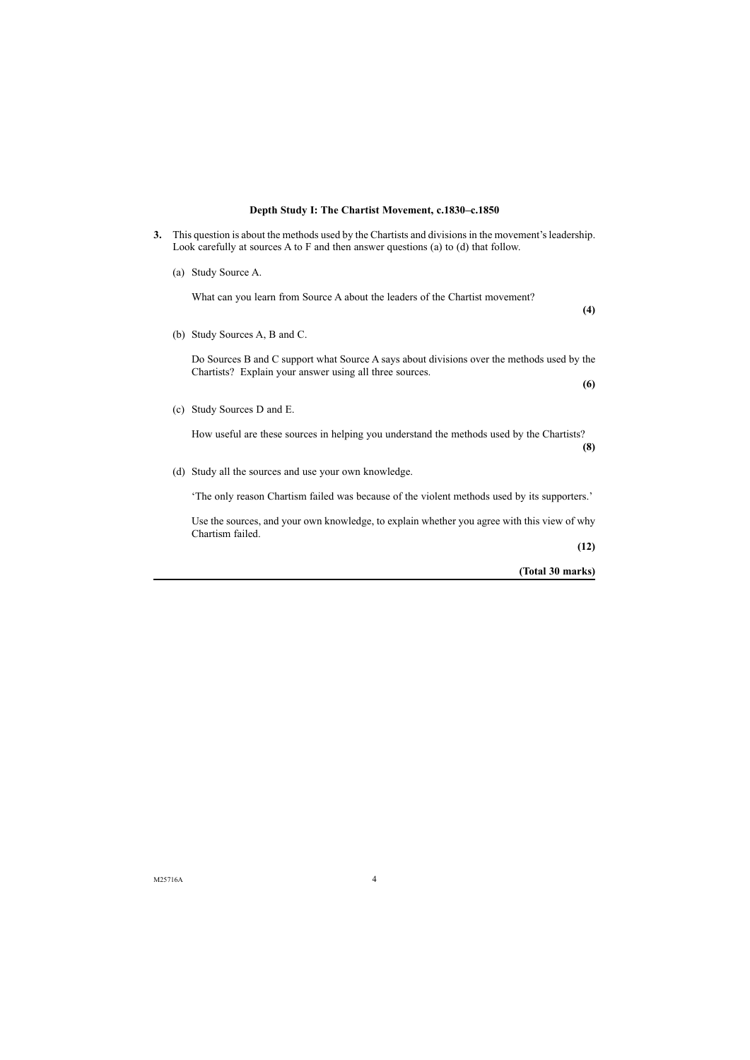#### M25716A 3 **Turn over**

#### **Depth Study H: Poverty and Poor Relief, c.1790–c.1850**

- **2.** This question is about the Old Poor Law and the effects of the Poor Law Amendment Act of 1834 in the period before 1850. Look carefully at Sources A to F and then answer questions (a) to (d) that follow.
	- (a) Study Source A.

 What can you learn from Source A about the effects of the Speenhamland System of poor relief?

**(4)**

(b) Study Sources A, B and C.

 Do Sources B and C support what Source A says about the effects of the Speenhamland System? Explain your answer using all three sources.

**(6)**

(c) Study Sources D and E.

 How useful are these sources in helping you to understand people's reactions to the Poor Law Amendment Act of 1834?

**(8)**

(d) Study all the sources and use your own knowledge.

'The New Poor Law provided a fair system of poor relief for all people.'

 Use the sources, and your own knowledge, to explain whether you agree with this view of the effects of the Poor Law Amendment Act of 1834.

**(12)**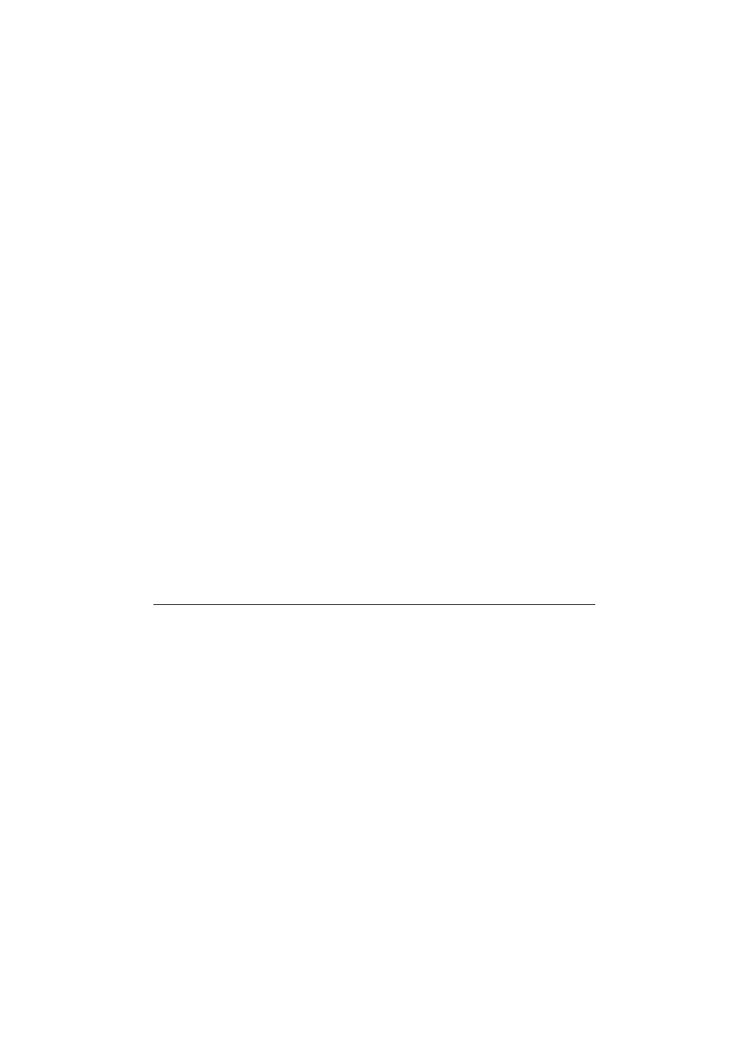# **Depth Study I: The Chartist Movement, c.1830–c.1850**

| 3. | This question is about the methods used by the Chartists and divisions in the movement's leadership.<br>Look carefully at sources A to F and then answer questions (a) to (d) that follow. |                                                                                                                                                              |  |
|----|--------------------------------------------------------------------------------------------------------------------------------------------------------------------------------------------|--------------------------------------------------------------------------------------------------------------------------------------------------------------|--|
|    |                                                                                                                                                                                            | (a) Study Source A.                                                                                                                                          |  |
|    |                                                                                                                                                                                            | What can you learn from Source A about the leaders of the Chartist movement?<br>(4)                                                                          |  |
|    |                                                                                                                                                                                            | (b) Study Sources A, B and C.                                                                                                                                |  |
|    |                                                                                                                                                                                            | Do Sources B and C support what Source A says about divisions over the methods used by the<br>Chartists? Explain your answer using all three sources.<br>(6) |  |
|    |                                                                                                                                                                                            | (c) Study Sources D and E.                                                                                                                                   |  |
|    |                                                                                                                                                                                            | How useful are these sources in helping you understand the methods used by the Chartists?<br>(8)                                                             |  |
|    |                                                                                                                                                                                            | (d) Study all the sources and use your own knowledge.                                                                                                        |  |
|    |                                                                                                                                                                                            | 'The only reason Chartism failed was because of the violent methods used by its supporters.'                                                                 |  |
|    |                                                                                                                                                                                            | Use the sources, and your own knowledge, to explain whether you agree with this view of why<br>Chartism failed.<br>(12)                                      |  |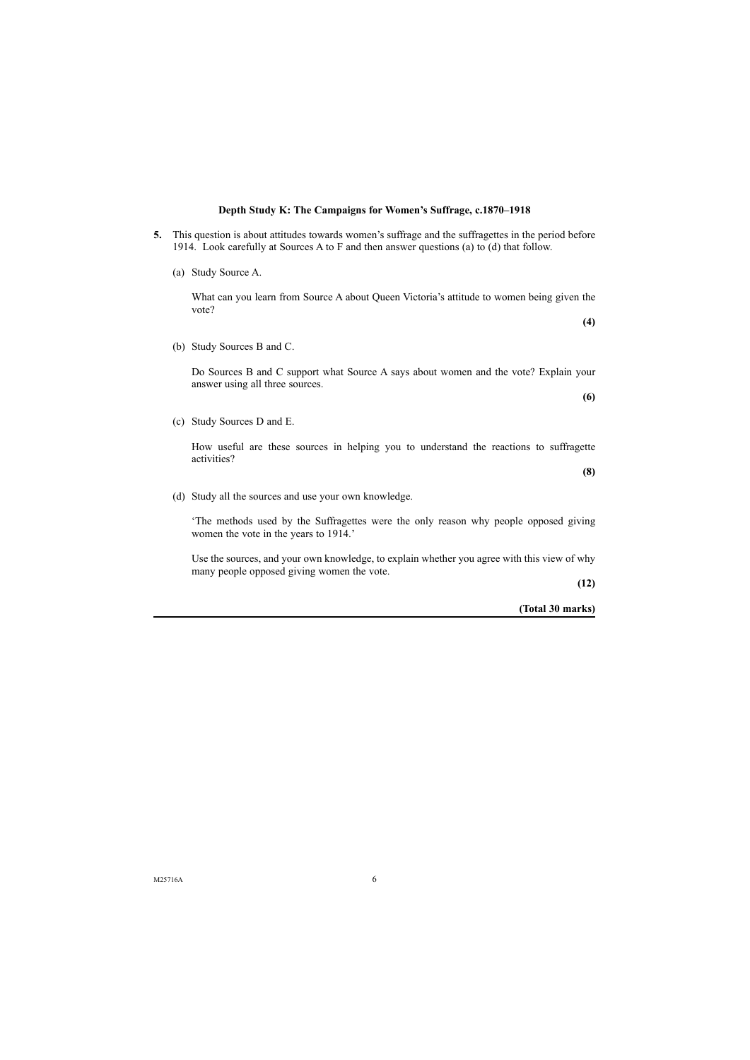#### M25716A 5 **Turn over**

#### **Depth Study J: The Campaigns for Factory and Mines Reform, c.1800–c.1880**

- **4.** This question is about child labour in factories and factory conditions in the period before 1880. Look carefully at Sources A to F and then answer questions (a) to (d) that follow.
	- (a) Study Source A.

 What can you learn from Source A about factory conditions for pauper apprentices in the early nineteenth century?

**(4)**

(b) Study Sources A, B and C.

 Do Sources B and C support what Source A says about conditions for children working in factories? Explain your answer using all three sources.

**(6)**

(c) Study Sources D and E.

 How useful are these sources in helping you understand different attitudes to child labour? **(8)**

(d) Study all the sources and use your own knowledge.

 'Factory conditions for child workers in the first half of the nineteenth century were always bad.'

 Use the sources, and your own knowledge, to explain whether you agree with this view of factory conditions for child workers in this period.

**(12)**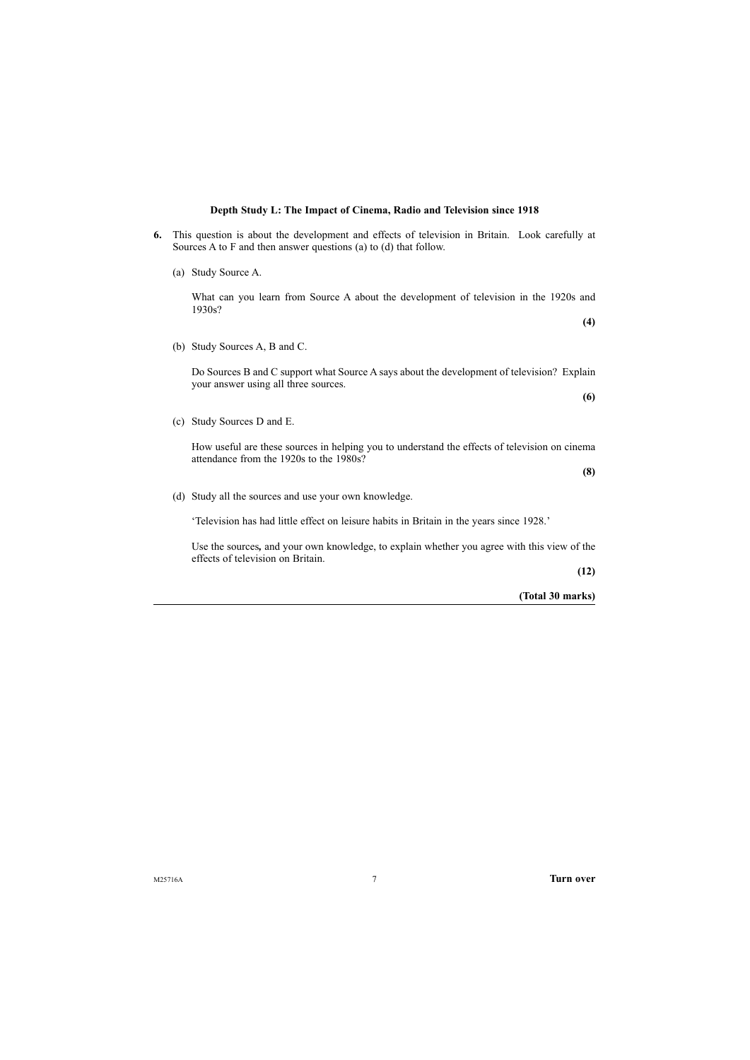### **Depth Study K: The Campaigns for Women's Suffrage, c.1870–1918**

- **5.** This question is about attitudes towards women's suffrage and the suffragettes in the period before 1914. Look carefully at Sources A to F and then answer questions (a) to (d) that follow.
	- (a) Study Source A.

 What can you learn from Source A about Queen Victoria's attitude to women being given the vote?

**(4)**

(b) Study Sources B and C.

 Do Sources B and C support what Source A says about women and the vote? Explain your answer using all three sources.

**(6)**

(c) Study Sources D and E.

 How useful are these sources in helping you to understand the reactions to suffragette activities?

**(8)**

(d) Study all the sources and use your own knowledge.

 'The methods used by the Suffragettes were the only reason why people opposed giving women the vote in the years to 1914.'

 Use the sources, and your own knowledge, to explain whether you agree with this view of why many people opposed giving women the vote.

**(12)**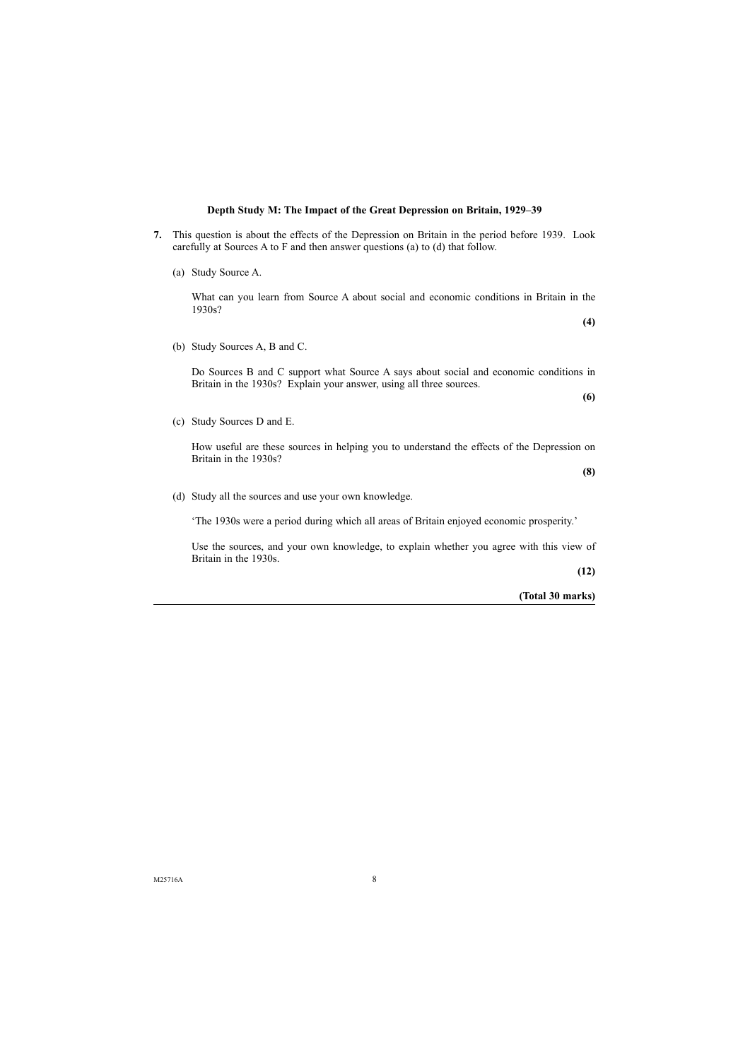#### M25716A 7 **Turn over**

## **Depth Study L: The Impact of Cinema, Radio and Television since 1918**

- **6.** This question is about the development and effects of television in Britain. Look carefully at Sources A to F and then answer questions (a) to (d) that follow.
	- (a) Study Source A.

 What can you learn from Source A about the development of television in the 1920s and 1930s?

**(4)**

(b) Study Sources A, B and C.

 Do Sources B and C support what Source A says about the development of television? Explain your answer using all three sources.

**(6)**

(c) Study Sources D and E.

 How useful are these sources in helping you to understand the effects of television on cinema attendance from the 1920s to the 1980s?

**(8)**

(d) Study all the sources and use your own knowledge.

'Television has had little effect on leisure habits in Britain in the years since 1928.'

 Use the sources*,* and your own knowledge, to explain whether you agree with this view of the effects of television on Britain.

**(12)**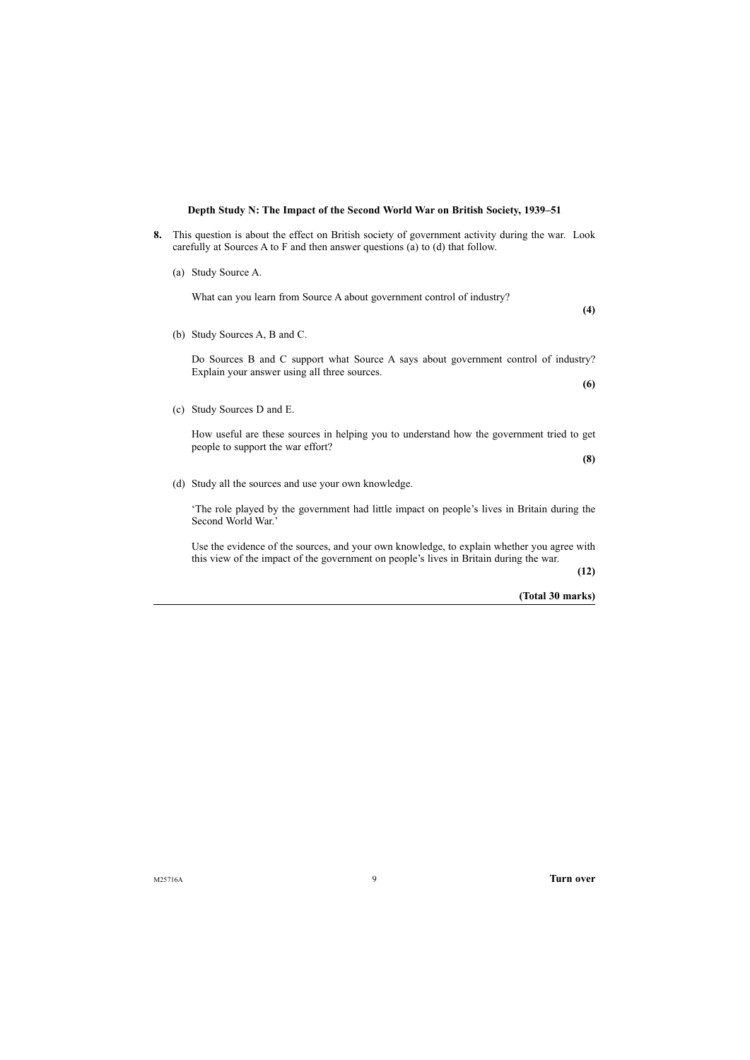### **Depth Study M: The Impact of the Great Depression on Britain, 1929–39**

- **7.** This question is about the effects of the Depression on Britain in the period before 1939. Look carefully at Sources A to F and then answer questions (a) to (d) that follow.
	- (a) Study Source A.

 What can you learn from Source A about social and economic conditions in Britain in the 1930s?

**(4)**

(b) Study Sources A, B and C.

 Do Sources B and C support what Source A says about social and economic conditions in Britain in the 1930s? Explain your answer, using all three sources.

**(6)**

(c) Study Sources D and E.

 How useful are these sources in helping you to understand the effects of the Depression on Britain in the 1930s?

**(8)**

(d) Study all the sources and use your own knowledge.

'The 1930s were a period during which all areas of Britain enjoyed economic prosperity.'

 Use the sources, and your own knowledge, to explain whether you agree with this view of Britain in the 1930s.

**(12)**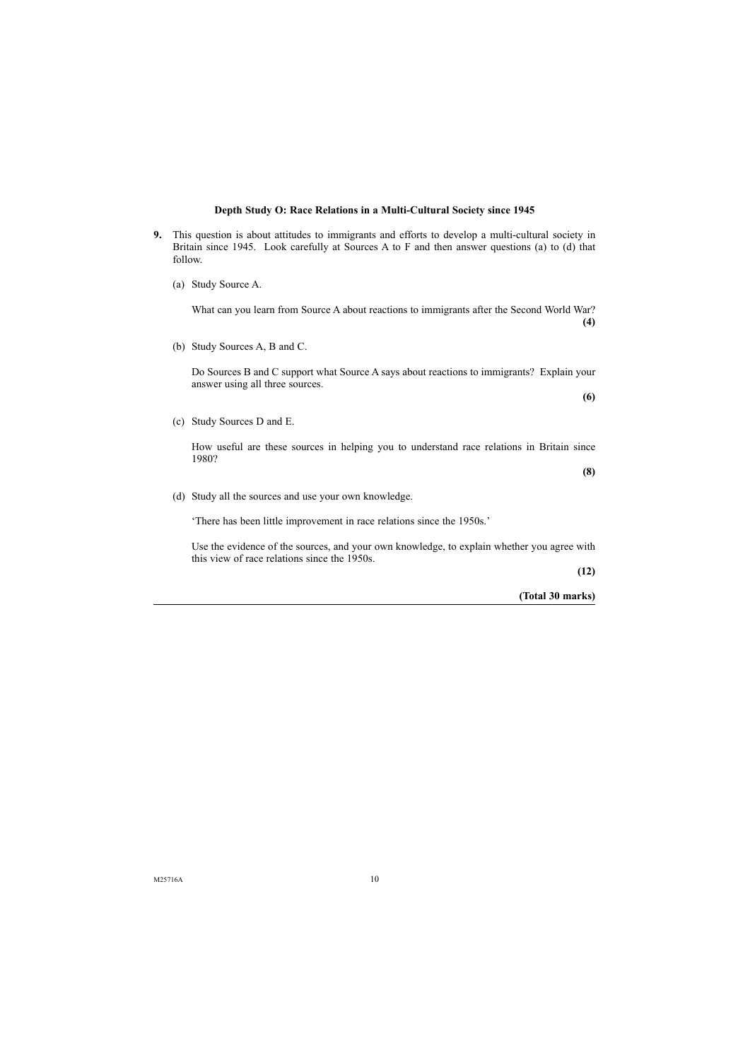#### M25716A 9 **Turn over**

# **Depth Study N: The Impact of the Second World War on British Society, 1939–51**

- **8.** This question is about the effect on British society of government activity during the war. Look carefully at Sources A to F and then answer questions (a) to (d) that follow.
	- (a) Study Source A.

What can you learn from Source A about government control of industry?

**(4)**

(b) Study Sources A, B and C.

 Do Sources B and C support what Source A says about government control of industry? Explain your answer using all three sources.

**(6)**

(c) Study Sources D and E.

 How useful are these sources in helping you to understand how the government tried to get people to support the war effort?

**(8)**

(d) Study all the sources and use your own knowledge.

 'The role played by the government had little impact on people's lives in Britain during the Second World War.'

 Use the evidence of the sources, and your own knowledge, to explain whether you agree with this view of the impact of the government on people's lives in Britain during the war.

**(12)**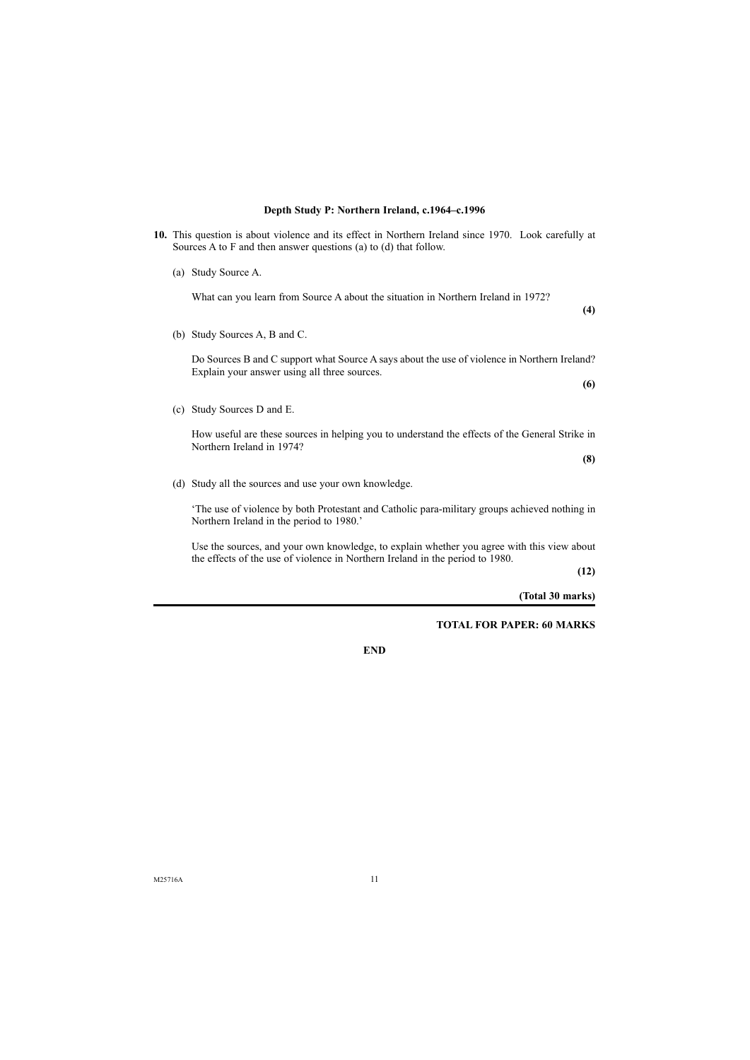#### **Depth Study O: Race Relations in a Multi-Cultural Society since 1945**

- **9.** This question is about attitudes to immigrants and efforts to develop a multi-cultural society in Britain since 1945. Look carefully at Sources A to F and then answer questions (a) to (d) that follow.
	- (a) Study Source A.

 What can you learn from Source A about reactions to immigrants after the Second World War? **(4)**

(b) Study Sources A, B and C.

 Do Sources B and C support what Source A says about reactions to immigrants? Explain your answer using all three sources.

**(6)**

(c) Study Sources D and E.

 How useful are these sources in helping you to understand race relations in Britain since 1980?

**(8)**

(d) Study all the sources and use your own knowledge.

'There has been little improvement in race relations since the 1950s.'

 Use the evidence of the sources, and your own knowledge, to explain whether you agree with this view of race relations since the 1950s.

**(12)**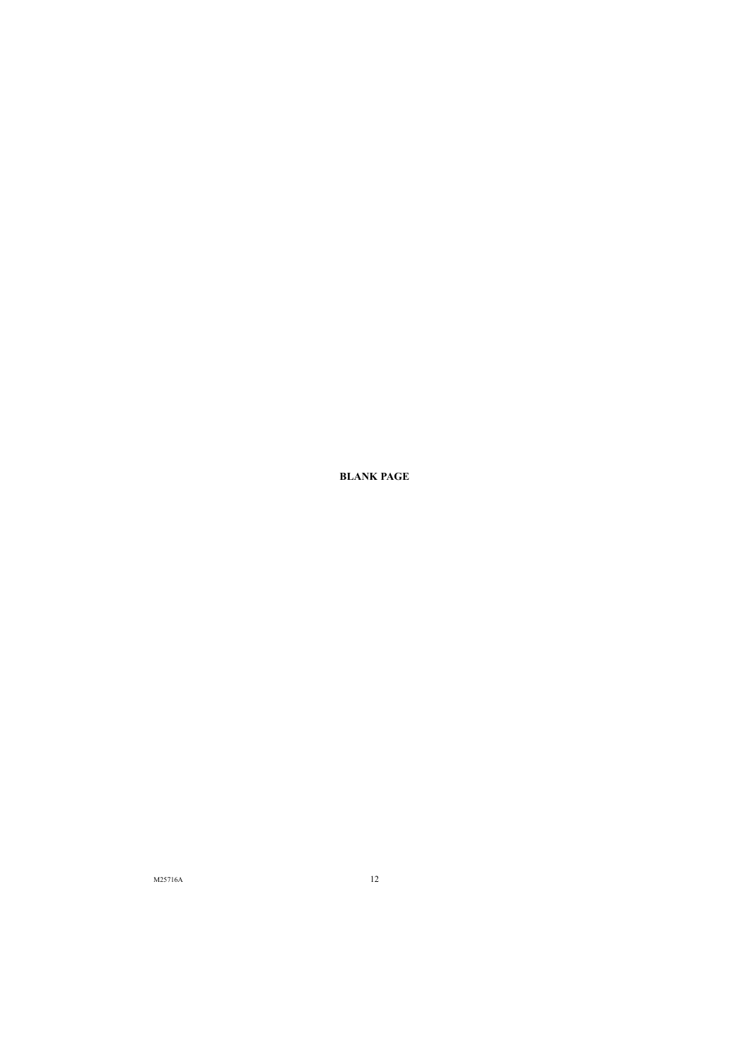#### **Depth Study P: Northern Ireland, c.1964–c.1996**

- **10.** This question is about violence and its effect in Northern Ireland since 1970. Look carefully at Sources A to F and then answer questions (a) to (d) that follow.
	- (a) Study Source A.

What can you learn from Source A about the situation in Northern Ireland in 1972?

**(4)**

(b) Study Sources A, B and C.

 Do Sources B and C support what Source A says about the use of violence in Northern Ireland? Explain your answer using all three sources.

**(6)**

(c) Study Sources D and E.

 How useful are these sources in helping you to understand the effects of the General Strike in Northern Ireland in 1974?

**(8)**

(d) Study all the sources and use your own knowledge.

 'The use of violence by both Protestant and Catholic para-military groups achieved nothing in Northern Ireland in the period to 1980.'

 Use the sources, and your own knowledge, to explain whether you agree with this view about the effects of the use of violence in Northern Ireland in the period to 1980.

**(12)**

**(Total 30 marks)**

# **TOTAL FOR PAPER: 60 MARKS**